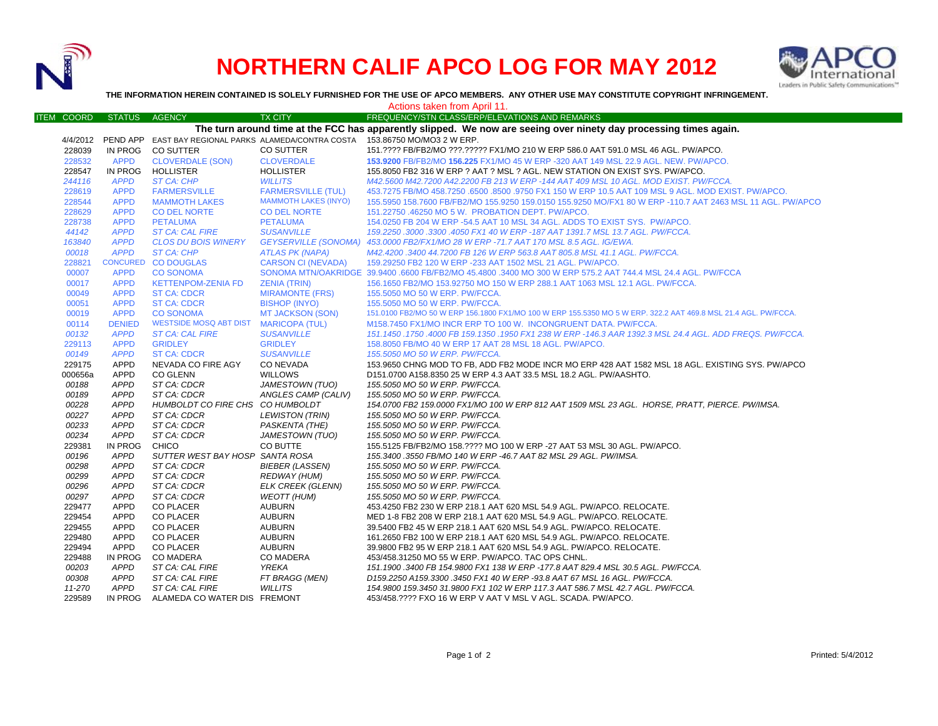

## **NORTHERN CALIF APCO LOG FOR MAY 2012**



**THE INFORMATION HEREIN CONTAINED IS SOLELY FURNISHED FOR THE USE OF APCO MEMBERS. ANY OTHER USE MAY CONSTITUTE COPYRIGHT INFRINGEMENT.**

|                                                                                                                   |               |                                      |                             | Actions taken from April 11.                                                                                   |  |  |  |  |
|-------------------------------------------------------------------------------------------------------------------|---------------|--------------------------------------|-----------------------------|----------------------------------------------------------------------------------------------------------------|--|--|--|--|
| <b>ITEM COORD</b>                                                                                                 | <b>STATUS</b> | <b>AGENCY</b>                        | <b>TX CITY</b>              | FREQUENCY/STN CLASS/ERP/ELEVATIONS AND REMARKS                                                                 |  |  |  |  |
| The turn around time at the FCC has apparently slipped. We now are seeing over ninety day processing times again. |               |                                      |                             |                                                                                                                |  |  |  |  |
|                                                                                                                   |               |                                      |                             | 4/4/2012 PEND APP EAST BAY REGIONAL PARKS ALAMEDA/CONTRA COSTA 153.86750 MO/MO3 2 W ERP.                       |  |  |  |  |
| 228039                                                                                                            |               | IN PROG CO SUTTER                    | CO SUTTER                   | 151.???? FB/FB2/MO ???.????? FX1/MO 210 W ERP 586.0 AAT 591.0 MSL 46 AGL. PW/APCO.                             |  |  |  |  |
| 228532                                                                                                            | <b>APPD</b>   | <b>CLOVERDALE (SON)</b>              | <b>CLOVERDALE</b>           | 153.9200 FB/FB2/MO 156.225 FX1/MO 45 W ERP -320 AAT 149 MSL 22.9 AGL. NEW. PW/APCO.                            |  |  |  |  |
| 228547                                                                                                            | IN PROG       | HOLLISTER                            | <b>HOLLISTER</b>            | 155.8050 FB2 316 W ERP ? AAT ? MSL ? AGL. NEW STATION ON EXIST SYS. PW/APCO.                                   |  |  |  |  |
| 244116                                                                                                            | <b>APPD</b>   | <b>ST CA: CHP</b>                    | <b>WILLITS</b>              | M42.5600 M42.7200 A42.2200 FB 213 W ERP -144 AAT 409 MSL 10 AGL, MOD EXIST, PW/FCCA.                           |  |  |  |  |
| 228619                                                                                                            | <b>APPD</b>   | <b>FARMERSVILLE</b>                  | <b>FARMERSVILLE (TUL)</b>   | 453.7275 FB/MO 458.7250 .6500 .8500 .9750 FX1 150 W ERP 10.5 AAT 109 MSL 9 AGL. MOD EXIST. PW/APCO.            |  |  |  |  |
| 228544                                                                                                            | <b>APPD</b>   | <b>MAMMOTH LAKES</b>                 | <b>MAMMOTH LAKES (INYO)</b> | 155.5950 158.7600 FB/FB2/MO 155.9250 159.0150 155.9250 MO/FX1 80 W ERP -110.7 AAT 2463 MSL 11 AGL. PW/APCO     |  |  |  |  |
| 228629                                                                                                            | <b>APPD</b>   | <b>CO DEL NORTE</b>                  | <b>CO DEL NORTE</b>         | 151.22750 .46250 MO 5 W. PROBATION DEPT. PW/APCO.                                                              |  |  |  |  |
| 228738                                                                                                            | <b>APPD</b>   | <b>PETALUMA</b>                      | <b>PETALUMA</b>             | 154.0250 FB 204 W ERP -54.5 AAT 10 MSL 34 AGL. ADDS TO EXIST SYS. PW/APCO.                                     |  |  |  |  |
| 44142                                                                                                             | <b>APPD</b>   | <b>ST CA: CAL FIRE</b>               | <b>SUSANVILLE</b>           | 159.2250 .3000 .3300 .4050 FX1 40 W ERP -187 AAT 1391.7 MSL 13.7 AGL. PW/FCCA.                                 |  |  |  |  |
| 163840                                                                                                            | <b>APPD</b>   | <b>CLOS DU BOIS WINERY</b>           |                             | GEYSERVILLE (SONOMA) 453.0000 FB2/FX1/MO 28 W ERP -71.7 AAT 170 MSL 8.5 AGL. IG/EWA.                           |  |  |  |  |
| 00018                                                                                                             | <b>APPD</b>   | <b>ST CA: CHP</b>                    | <b>ATLAS PK (NAPA)</b>      | M42.4200.3400 44.7200 FB 126 W ERP 563.8 AAT 805.8 MSL 41.1 AGL. PW/FCCA.                                      |  |  |  |  |
| 228821                                                                                                            |               | CONCURED CO DOUGLAS                  | <b>CARSON CI (NEVADA)</b>   | 159.29250 FB2 120 W ERP -233 AAT 1502 MSL 21 AGL. PW/APCO.                                                     |  |  |  |  |
| 00007                                                                                                             | <b>APPD</b>   | <b>CO SONOMA</b>                     |                             | SONOMA MTN/OAKRIDGE 39.9400 .6600 FB/FB2/MO 45.4800 .3400 MO 300 W ERP 575.2 AAT 744.4 MSL 24.4 AGL. PW/FCCA   |  |  |  |  |
| 00017                                                                                                             | <b>APPD</b>   | <b>KETTENPOM-ZENIA FD</b>            | <b>ZENIA (TRIN)</b>         | 156.1650 FB2/MO 153.92750 MO 150 W ERP 288.1 AAT 1063 MSL 12.1 AGL. PW/FCCA.                                   |  |  |  |  |
| 00049                                                                                                             | <b>APPD</b>   | <b>ST CA: CDCR</b>                   | <b>MIRAMONTE (FRS)</b>      | 155.5050 MO 50 W ERP. PW/FCCA.                                                                                 |  |  |  |  |
| 00051                                                                                                             | <b>APPD</b>   | <b>ST CA: CDCR</b>                   | <b>BISHOP (INYO)</b>        | 155,5050 MO 50 W ERP. PW/FCCA.                                                                                 |  |  |  |  |
| 00019                                                                                                             | <b>APPD</b>   | <b>CO SONOMA</b>                     | MT JACKSON (SON)            | 151.0100 FB2/MO 50 W ERP 156.1800 FX1/MO 100 W ERP 155.5350 MO 5 W ERP. 322.2 AAT 469.8 MSL 21.4 AGL. PW/FCCA. |  |  |  |  |
| 00114                                                                                                             | <b>DENIED</b> | <b>WESTSIDE MOSQ ABT DIST</b>        | <b>MARICOPA (TUL)</b>       | M158.7450 FX1/MO INCR ERP TO 100 W. INCONGRUENT DATA. PW/FCCA.                                                 |  |  |  |  |
| 00132                                                                                                             | <b>APPD</b>   | <b>ST CA: CAL FIRE</b>               | <b>SUSANVILLE</b>           | 151.1450 .1750 .4000 FB 159.1350 .1950 FX1 238 W ERP -146.3 AAR 1392.3 MSL 24.4 AGL. ADD FREQS. PW/FCCA.       |  |  |  |  |
| 229113                                                                                                            | <b>APPD</b>   | <b>GRIDLEY</b>                       | <b>GRIDLEY</b>              | 158,8050 FB/MO 40 W ERP 17 AAT 28 MSL 18 AGL, PW/APCO.                                                         |  |  |  |  |
| 00149                                                                                                             | <b>APPD</b>   | <b>ST CA: CDCR</b>                   | <b>SUSANVILLE</b>           | 155.5050 MO 50 W ERP. PW/FCCA.                                                                                 |  |  |  |  |
| 229175                                                                                                            | <b>APPD</b>   | NEVADA CO FIRE AGY                   | CO NEVADA                   | 153.9650 CHNG MOD TO FB, ADD FB2 MODE INCR MO ERP 428 AAT 1582 MSL 18 AGL. EXISTING SYS. PW/APCO               |  |  |  |  |
| 000656a                                                                                                           | APPD          | CO GLENN                             | <b>WILLOWS</b>              | D151.0700 A158.8350 25 W ERP 4.3 AAT 33.5 MSL 18.2 AGL. PW/AASHTO.                                             |  |  |  |  |
| 00188                                                                                                             | <b>APPD</b>   | ST CA: CDCR                          | JAMESTOWN (TUO)             | 155.5050 MO 50 W ERP. PW/FCCA.                                                                                 |  |  |  |  |
| 00189                                                                                                             | <b>APPD</b>   | ST CA: CDCR                          | ANGLES CAMP (CALIV)         | 155.5050 MO 50 W ERP. PW/FCCA.                                                                                 |  |  |  |  |
| 00228                                                                                                             | <b>APPD</b>   | HUMBOLDT CO FIRE CHS CO HUMBOLDT     |                             | 154.0700 FB2 159.0000 FX1/MO 100 W ERP 812 AAT 1509 MSL 23 AGL. HORSE, PRATT, PIERCE. PW/IMSA.                 |  |  |  |  |
| 00227                                                                                                             | <b>APPD</b>   | ST CA: CDCR                          | <b>LEWISTON (TRIN)</b>      | 155.5050 MO 50 W ERP. PW/FCCA.                                                                                 |  |  |  |  |
| 00233                                                                                                             | <b>APPD</b>   | ST CA: CDCR                          | PASKENTA (THE)              | 155.5050 MO 50 W ERP. PW/FCCA.                                                                                 |  |  |  |  |
| 00234                                                                                                             | <b>APPD</b>   | ST CA: CDCR                          | <b>JAMESTOWN (TUO)</b>      | 155.5050 MO 50 W ERP. PW/FCCA.                                                                                 |  |  |  |  |
| 229381                                                                                                            | IN PROG       | <b>CHICO</b>                         | CO BUTTE                    | 155.5125 FB/FB2/MO 158.???? MO 100 W ERP -27 AAT 53 MSL 30 AGL. PW/APCO.                                       |  |  |  |  |
| 00196                                                                                                             | <b>APPD</b>   | SUTTER WEST BAY HOSP SANTA ROSA      |                             | 155.3400 .3550 FB/MO 140 W ERP -46.7 AAT 82 MSL 29 AGL. PW/IMSA.                                               |  |  |  |  |
| 00298                                                                                                             | <b>APPD</b>   | ST CA: CDCR                          | <b>BIEBER (LASSEN)</b>      | 155.5050 MO 50 W ERP. PW/FCCA.                                                                                 |  |  |  |  |
| 00299                                                                                                             | <b>APPD</b>   | ST CA: CDCR                          | <b>REDWAY (HUM)</b>         | 155.5050 MO 50 W ERP. PW/FCCA.                                                                                 |  |  |  |  |
| 00296                                                                                                             | <b>APPD</b>   | ST CA: CDCR                          | <b>ELK CREEK (GLENN)</b>    | 155.5050 MO 50 W ERP. PW/FCCA.                                                                                 |  |  |  |  |
| 00297                                                                                                             | APPD          | ST CA: CDCR                          | <b>WEOTT (HUM)</b>          | 155.5050 MO 50 W ERP. PW/FCCA.                                                                                 |  |  |  |  |
| 229477                                                                                                            | <b>APPD</b>   | <b>CO PLACER</b>                     | <b>AUBURN</b>               | 453.4250 FB2 230 W ERP 218.1 AAT 620 MSL 54.9 AGL. PW/APCO. RELOCATE.                                          |  |  |  |  |
| 229454                                                                                                            | <b>APPD</b>   | <b>CO PLACER</b>                     | <b>AUBURN</b>               | MED 1-8 FB2 208 W ERP 218.1 AAT 620 MSL 54.9 AGL. PW/APCO. RELOCATE.                                           |  |  |  |  |
| 229455                                                                                                            | <b>APPD</b>   | <b>CO PLACER</b>                     | <b>AUBURN</b>               | 39.5400 FB2 45 W ERP 218.1 AAT 620 MSL 54.9 AGL, PW/APCO, RELOCATE.                                            |  |  |  |  |
| 229480                                                                                                            | <b>APPD</b>   | <b>CO PLACER</b>                     | <b>AUBURN</b>               | 161.2650 FB2 100 W ERP 218.1 AAT 620 MSL 54.9 AGL. PW/APCO. RELOCATE.                                          |  |  |  |  |
| 229494                                                                                                            | APPD          | <b>CO PLACER</b>                     | AUBURN                      | 39.9800 FB2 95 W ERP 218.1 AAT 620 MSL 54.9 AGL. PW/APCO. RELOCATE.                                            |  |  |  |  |
| 229488                                                                                                            | IN PROG       | <b>CO MADERA</b>                     | <b>CO MADERA</b>            | 453/458.31250 MO 55 W ERP. PW/APCO. TAC OPS CHNL.                                                              |  |  |  |  |
| 00203                                                                                                             | APPD          | ST CA: CAL FIRE                      | <b>YREKA</b>                | 151.1900.3400 FB 154.9800 FX1 138 W ERP -177.8 AAT 829.4 MSL 30.5 AGL. PW/FCCA.                                |  |  |  |  |
| 00308                                                                                                             | <b>APPD</b>   | ST CA: CAL FIRE                      | FT BRAGG (MEN)              | D159.2250 A159.3300 .3450 FX1 40 W ERP -93.8 AAT 67 MSL 16 AGL. PW/FCCA.                                       |  |  |  |  |
| 11-270                                                                                                            | <b>APPD</b>   | ST CA: CAL FIRE                      | <b>WILLITS</b>              | 154.9800 159.3450 31.9800 FX1 102 W ERP 117.3 AAT 586.7 MSL 42.7 AGL. PW/FCCA.                                 |  |  |  |  |
| 229589                                                                                                            |               | IN PROG ALAMEDA CO WATER DIS FREMONT |                             | 453/458.???? FXO 16 W ERP V AAT V MSL V AGL. SCADA. PW/APCO.                                                   |  |  |  |  |